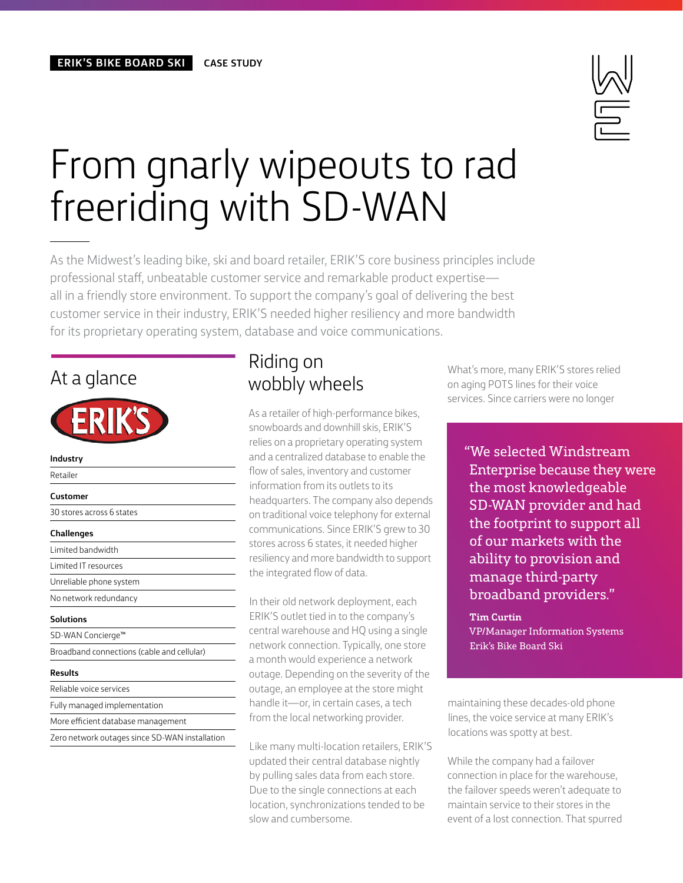

# From gnarly wipeouts to rad freeriding with SD-WAN

As the Midwest's leading bike, ski and board retailer, ERIK'S core business principles include professional staff, unbeatable customer service and remarkable product expertise all in a friendly store environment. To support the company's goal of delivering the best customer service in their industry, ERIK'S needed higher resiliency and more bandwidth for its proprietary operating system, database and voice communications.

#### At a glance

| Industry                                       |
|------------------------------------------------|
| Retailer                                       |
| Customer                                       |
| 30 stores across 6 states                      |
| <b>Challenges</b>                              |
| Limited bandwidth                              |
| Limited IT resources                           |
| Unreliable phone system                        |
| No network redundancy                          |
| Solutions                                      |
| SD-WAN Concierge™                              |
| Broadband connections (cable and cellular)     |
| Results                                        |
| Reliable voice services                        |
| Fully managed implementation                   |
| More efficient database management             |
| Zero network outages since SD-WAN installation |

#### Riding on wobbly wheels

As a retailer of high-performance bikes, snowboards and downhill skis, ERIK'S relies on a proprietary operating system and a centralized database to enable the flow of sales, inventory and customer information from its outlets to its headquarters. The company also depends on traditional voice telephony for external communications. Since ERIK'S grew to 30 stores across 6 states, it needed higher resiliency and more bandwidth to support the integrated flow of data.

In their old network deployment, each ERIK'S outlet tied in to the company's central warehouse and HQ using a single network connection. Typically, one store a month would experience a network outage. Depending on the severity of the outage, an employee at the store might handle it—or, in certain cases, a tech from the local networking provider.

Like many multi-location retailers, ERIK'S updated their central database nightly by pulling sales data from each store. Due to the single connections at each location, synchronizations tended to be slow and cumbersome.

What's more, many ERIK'S stores relied on aging POTS lines for their voice services. Since carriers were no longer

"We selected Windstream Enterprise because they were the most knowledgeable SD-WAN provider and had the footprint to support all of our markets with the ability to provision and manage third-party broadband providers."

**Tim Curtin** VP/Manager Information Systems Erik's Bike Board Ski

maintaining these decades-old phone lines, the voice service at many ERIK's locations was spotty at best.

While the company had a failover connection in place for the warehouse, the failover speeds weren't adequate to maintain service to their stores in the event of a lost connection. That spurred